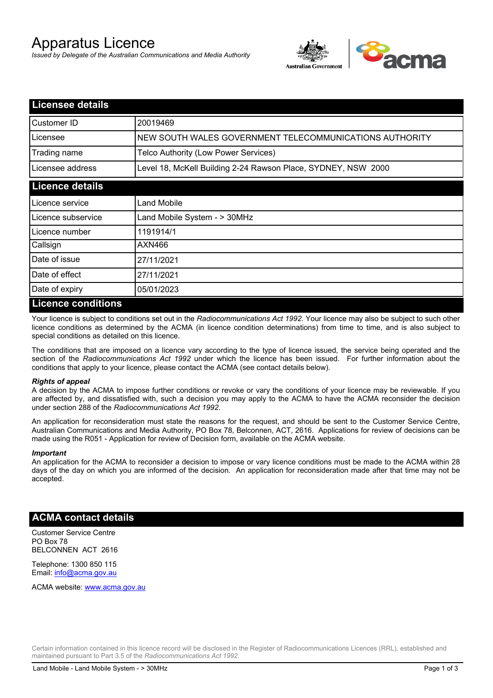# Apparatus Licence

*Issued by Delegate of the Australian Communications and Media Authority*



| <b>Licensee details</b>    |                                                               |
|----------------------------|---------------------------------------------------------------|
| Customer ID                | 20019469                                                      |
| Licensee                   | NEW SOUTH WALES GOVERNMENT TELECOMMUNICATIONS AUTHORITY       |
| Trading name               | Telco Authority (Low Power Services)                          |
| Licensee address           | Level 18, McKell Building 2-24 Rawson Place, SYDNEY, NSW 2000 |
| <b>Licence details</b>     |                                                               |
| Licence service            | Land Mobile                                                   |
| Licence subservice         | Land Mobile System - > 30MHz                                  |
| Licence number             | 1191914/1                                                     |
| Callsign                   | AXN466                                                        |
| Date of issue              | 27/11/2021                                                    |
| Date of effect             | 27/11/2021                                                    |
| Date of expiry             | 05/01/2023                                                    |
| <u>I icence conditions</u> |                                                               |

# **Licence conditions**

Your licence is subject to conditions set out in the *Radiocommunications Act 1992*. Your licence may also be subject to such other licence conditions as determined by the ACMA (in licence condition determinations) from time to time, and is also subject to special conditions as detailed on this licence.

The conditions that are imposed on a licence vary according to the type of licence issued, the service being operated and the section of the *Radiocommunications Act 1992* under which the licence has been issued. For further information about the conditions that apply to your licence, please contact the ACMA (see contact details below).

#### *Rights of appeal*

A decision by the ACMA to impose further conditions or revoke or vary the conditions of your licence may be reviewable. If you are affected by, and dissatisfied with, such a decision you may apply to the ACMA to have the ACMA reconsider the decision under section 288 of the *Radiocommunications Act 1992*.

An application for reconsideration must state the reasons for the request, and should be sent to the Customer Service Centre, Australian Communications and Media Authority, PO Box 78, Belconnen, ACT, 2616. Applications for review of decisions can be made using the R051 - Application for review of Decision form, available on the ACMA website.

#### *Important*

An application for the ACMA to reconsider a decision to impose or vary licence conditions must be made to the ACMA within 28 days of the day on which you are informed of the decision. An application for reconsideration made after that time may not be accepted.

### **ACMA contact details**

Customer Service Centre PO Box 78 BELCONNEN ACT 2616

Telephone: 1300 850 115 Email: info@acma.gov.au

ACMA website: www.acma.gov.au

Certain information contained in this licence record will be disclosed in the Register of Radiocommunications Licences (RRL), established and maintained pursuant to Part 3.5 of the *Radiocommunications Act 1992.*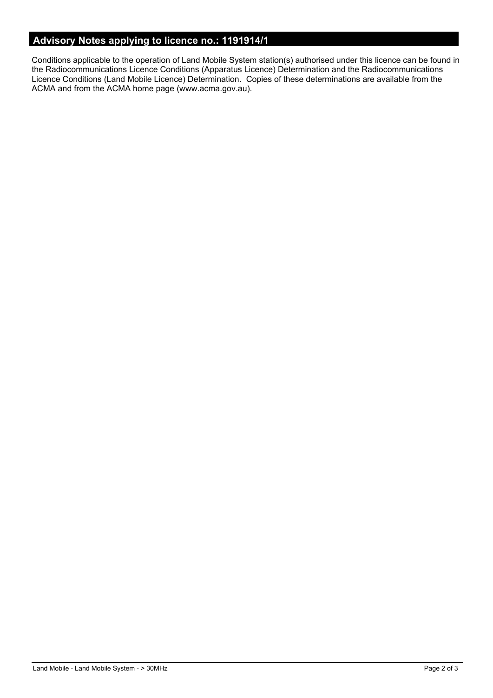# **Advisory Notes applying to licence no.: 1191914/1**

Conditions applicable to the operation of Land Mobile System station(s) authorised under this licence can be found in the Radiocommunications Licence Conditions (Apparatus Licence) Determination and the Radiocommunications Licence Conditions (Land Mobile Licence) Determination. Copies of these determinations are available from the ACMA and from the ACMA home page (www.acma.gov.au).